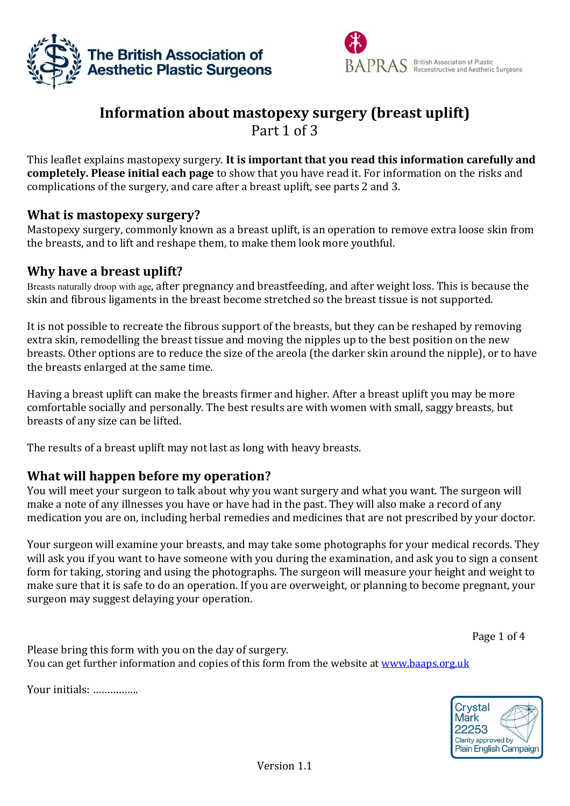



# **Information about mastopexy surgery (breast uplift)** Part 1 of 3

This leaflet explains mastopexy surgery. **It is important that you read this information carefully and completely. Please initial each page** to show that you have read it. For information on the risks and complications of the surgery, and care after a breast uplift, see parts 2 and 3.

#### **What is mastopexy surgery?**

Mastopexy surgery, commonly known as a breast uplift, is an operation to remove extra loose skin from the breasts, and to lift and reshape them, to make them look more youthful.

### **Why have a breast uplift?**

Breasts naturally droop with age, after pregnancy and breastfeeding, and after weight loss. This is because the skin and fibrous ligaments in the breast become stretched so the breast tissue is not supported.

It is not possible to recreate the fibrous support of the breasts, but they can be reshaped by removing extra skin, remodelling the breast tissue and moving the nipples up to the best position on the new breasts. Other options are to reduce the size of the areola (the darker skin around the nipple), or to have the breasts enlarged at the same time.

Having a breast uplift can make the breasts firmer and higher. After a breast uplift you may be more comfortable socially and personally. The best results are with women with small, saggy breasts, but breasts of any size can be lifted.

The results of a breast uplift may not last as long with heavy breasts.

## **What will happen before my operation?**

You will meet your surgeon to talk about why you want surgery and what you want. The surgeon will make a note of any illnesses you have or have had in the past. They will also make a record of any medication you are on, including herbal remedies and medicines that are not prescribed by your doctor.

Your surgeon will examine your breasts, and may take some photographs for your medical records. They will ask you if you want to have someone with you during the examination, and ask you to sign a consent form for taking, storing and using the photographs. The surgeon will measure your height and weight to make sure that it is safe to do an operation. If you are overweight, or planning to become pregnant, your surgeon may suggest delaying your operation.

Page 1 of 4

Please bring this form with you on the day of surgery. You can get further information and copies of this form from the website at [www.baaps.org.uk](http://www.baaps.org.uk/)

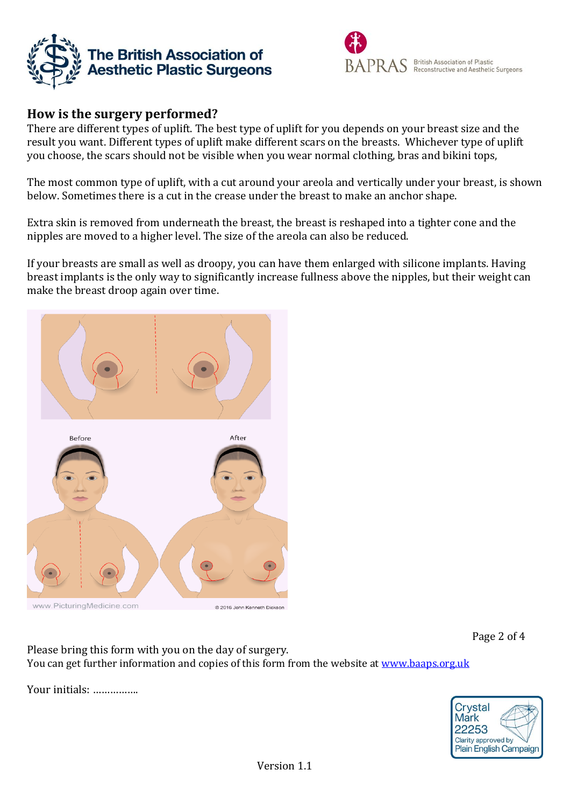



## **How is the surgery performed?**

There are different types of uplift. The best type of uplift for you depends on your breast size and the result you want. Different types of uplift make different scars on the breasts. Whichever type of uplift you choose, the scars should not be visible when you wear normal clothing, bras and bikini tops,

The most common type of uplift, with a cut around your areola and vertically under your breast, is shown below. Sometimes there is a cut in the crease under the breast to make an anchor shape.

Extra skin is removed from underneath the breast, the breast is reshaped into a tighter cone and the nipples are moved to a higher level. The size of the areola can also be reduced.

If your breasts are small as well as droopy, you can have them enlarged with silicone implants. Having breast implants is the only way to significantly increase fullness above the nipples, but their weight can make the breast droop again over time.



www.PicturingMedicine.com

Page 2 of 4

Please bring this form with you on the day of surgery. You can get further information and copies of this form from the website at [www.baaps.org.uk](http://www.baaps.org.uk/)

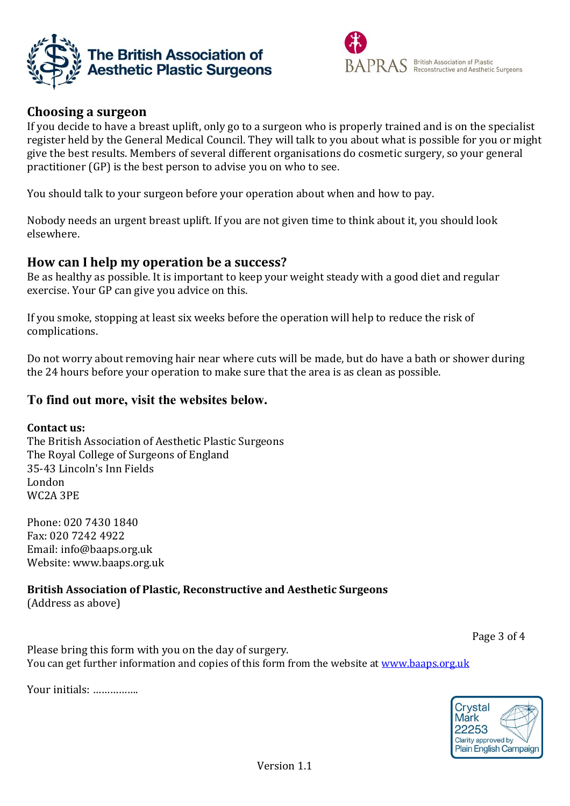



## **Choosing a surgeon**

If you decide to have a breast uplift, only go to a surgeon who is properly trained and is on the specialist register held by the General Medical Council. They will talk to you about what is possible for you or might give the best results. Members of several different organisations do cosmetic surgery, so your general practitioner (GP) is the best person to advise you on who to see.

You should talk to your surgeon before your operation about when and how to pay.

Nobody needs an urgent breast uplift. If you are not given time to think about it, you should look elsewhere.

#### **How can I help my operation be a success?**

Be as healthy as possible. It is important to keep your weight steady with a good diet and regular exercise. Your GP can give you advice on this.

If you smoke, stopping at least six weeks before the operation will help to reduce the risk of complications.

Do not worry about removing hair near where cuts will be made, but do have a bath or shower during the 24 hours before your operation to make sure that the area is as clean as possible.

#### **To find out more, visit the websites below.**

#### **Contact us:**

The British Association of Aesthetic Plastic Surgeons The Royal College of Surgeons of England 35-43 Lincoln's Inn Fields London WC2A 3PE

Phone: 020 7430 1840 Fax: 020 7242 4922 Email: [info@baaps.org.uk](mailto:info@baaps.org.uk) Website: www.baaps.org.uk

## **British Association of Plastic, Reconstructive and Aesthetic Surgeons**

(Address as above)

Page 3 of 4

Please bring this form with you on the day of surgery. You can get further information and copies of this form from the website at [www.baaps.org.uk](http://www.baaps.org.uk/)